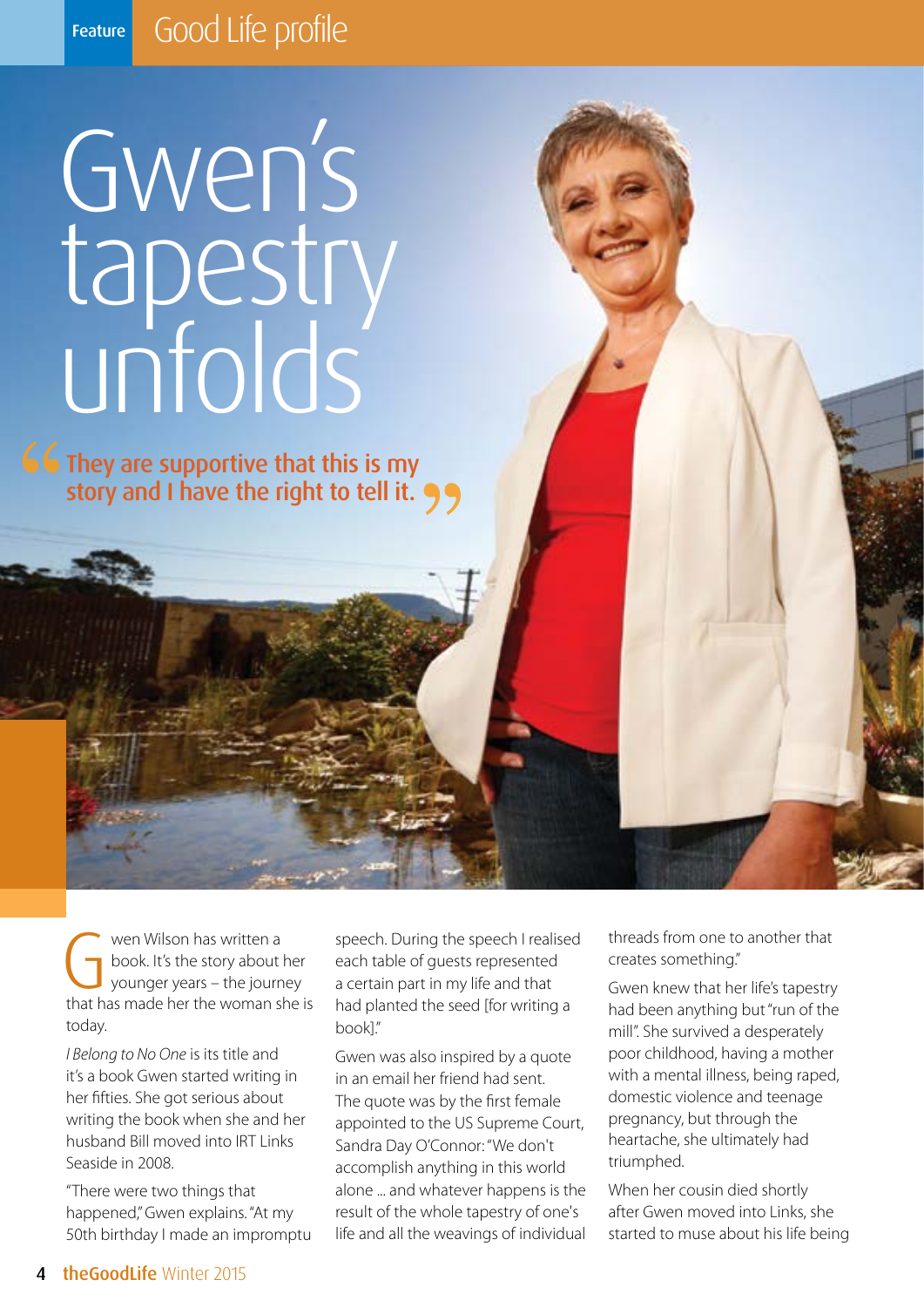## Gwen's tapestry unfolds

They are supportive that this is my story and I have the right to tell it.

Wen Wilson has written a<br>book. It's the story about<br>younger years – the journ<br>that has made her the woman s book. It's the story about her younger years – the journey that has made her the woman she is today.

*I Belong to No One* is its title and it's a book Gwen started writing in her fifties. She got serious about writing the book when she and her husband Bill moved into IRT Links Seaside in 2008.

"There were two things that happened," Gwen explains. "At my 50th birthday I made an impromptu speech. During the speech I realised each table of guests represented a certain part in my life and that had planted the seed [for writing a book]."

Gwen was also inspired by a quote in an email her friend had sent. The quote was by the first female appointed to the US Supreme Court, Sandra Day O'Connor: "We don't accomplish anything in this world alone ... and whatever happens is the result of the whole tapestry of one's life and all the weavings of individual

threads from one to another that creates something."

Gwen knew that her life's tapestry had been anything but "run of the mill". She survived a desperately poor childhood, having a mother with a mental illness, being raped, domestic violence and teenage pregnancy, but through the heartache, she ultimately had triumphed.

When her cousin died shortly after Gwen moved into Links, she started to muse about his life being